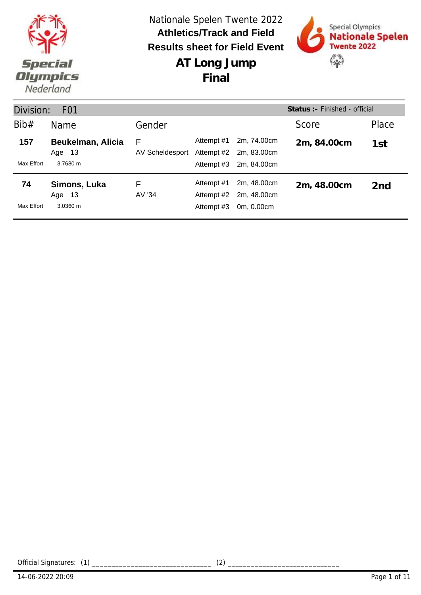



| Status: - Finished - official<br>Division:<br>F <sub>0</sub> 1 |                                 |                      |                          |                            |             |                 |  |
|----------------------------------------------------------------|---------------------------------|----------------------|--------------------------|----------------------------|-------------|-----------------|--|
| Bib#                                                           | <b>Name</b>                     | Gender               |                          |                            | Score       | Place           |  |
| 157                                                            | Beukelman, Alicia<br>-13<br>Age | F<br>AV Scheldesport | Attempt #1<br>Attempt #2 | 2m, 74.00cm<br>2m. 83.00cm | 2m, 84.00cm | 1st             |  |
| Max Effort                                                     | 3.7680 m                        |                      | Attempt #3               | 2m, 84.00cm                |             |                 |  |
| 74                                                             | Simons, Luka<br>-13<br>Age      | F<br>AV '34          | Attempt #1<br>Attempt #2 | 2m, 48.00cm<br>2m, 48.00cm | 2m, 48.00cm | 2 <sub>nd</sub> |  |
| Max Effort                                                     | 3.0360 m                        |                      | Attempt #3               | 0m, 0.00cm                 |             |                 |  |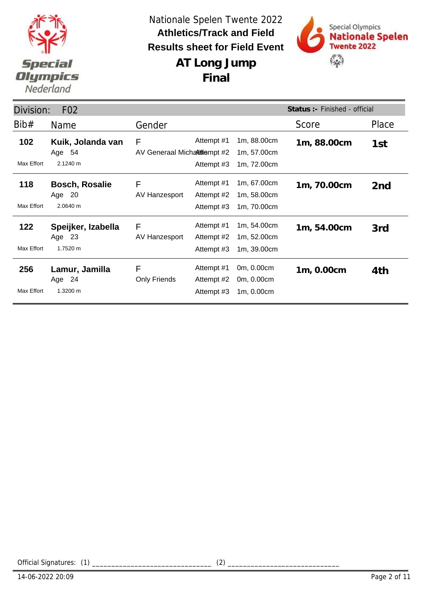

**Final**



| Status :- Finished - official<br>Division:<br>F <sub>02</sub> |                                          |                                   |                                        |                                           |             |                 |  |
|---------------------------------------------------------------|------------------------------------------|-----------------------------------|----------------------------------------|-------------------------------------------|-------------|-----------------|--|
| Bib#                                                          | <b>Name</b>                              | Gender                            |                                        |                                           | Score       | Place           |  |
| 102                                                           | Kuik, Jolanda van<br>Age 54              | F<br>AV Generaal Micharitiempt #2 | Attempt #1                             | 1m, 88.00cm<br>1m, 57.00cm                | 1m, 88.00cm | 1st             |  |
| Max Effort                                                    | 2.1240 m                                 |                                   | Attempt #3                             | 1m, 72.00cm                               |             |                 |  |
| 118                                                           | <b>Bosch, Rosalie</b><br>Age 20          | F<br>AV Hanzesport                | Attempt #1<br>Attempt #2               | 1m, 67.00cm<br>1m, 58.00cm                | 1m, 70.00cm | 2 <sub>nd</sub> |  |
| Max Effort                                                    | 2.0640 m                                 |                                   | Attempt #3                             | 1m, 70.00cm                               |             |                 |  |
| 122<br>Max Effort                                             | Speijker, Izabella<br>Age 23<br>1.7520 m | F<br>AV Hanzesport                | Attempt #1<br>Attempt #2<br>Attempt #3 | 1m, 54.00cm<br>1m, 52.00cm<br>1m, 39.00cm | 1m, 54.00cm | 3rd             |  |
|                                                               |                                          |                                   |                                        |                                           |             |                 |  |
| 256<br>Max Effort                                             | Lamur, Jamilla<br>Age 24<br>1.3200 m     | F<br><b>Only Friends</b>          | Attempt #1<br>Attempt #2<br>Attempt #3 | 0m, 0.00cm<br>0m, 0.00cm<br>1m, 0.00cm    | 1m, 0.00cm  | 4th             |  |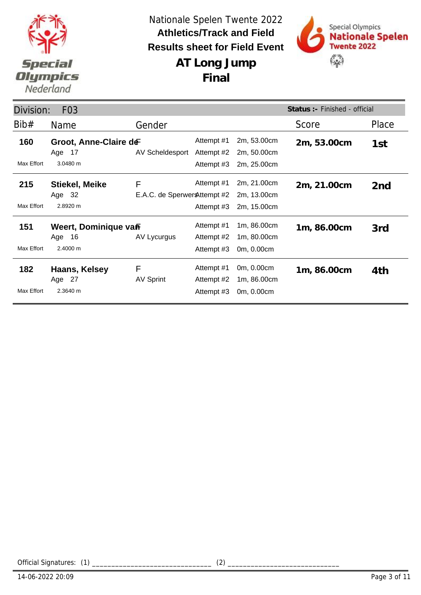

**AT Long Jump**

**Final**



Division: F03 Name Gender Gender Score Place **Status :-** Finished - official Bib# Gender **160 Groot, Anne-Claire de Example 41 Attempt #1 2m, 53.00cm** 2m, 53.00cm AV Scheldesport Max Effort 3.0480 m Attempt #1 2m, 53.00cm 2m, 53.00cm 1st<br>Attempt #2 2m, 50.00cm 2m, 50.00cm Attempt #3 2m, 25.00cm Age 17 **Stiekel, Meike** E.A.C. de Sperwer & ttempt #2 **215 Stiekel, Meike** F Attempt #1 2m, 21.00cm 2m, 21.00cm 2nd Max Effort 2.8920 m 2m, 13.00cm Attempt #3 2m, 15.00cm F Age 32 **151 Weert, Dominique valf metalliers** Attempt #1 nm, 86.00cm nm, 86.00cm AV Lycurgus Max Effort 2.4000 m Attempt #1 1m, 86.00cm 1m, 86.00cm 3rd<br>Attempt #2 1m, 80.00cm 1m, 80.00cm Attempt #3 0m, 0.00cm Age 16 **Haans, Kelsey 182 1m, 86.00cm** AV Sprint Max Effort 2.3640 m Attempt #1 0m, 0.00cm 1m, 86.00cm 4th<br>Attempt #2 1m, 86.00cm 1m, 86.00cm Attempt #3 0m, 0.00cm F Age 27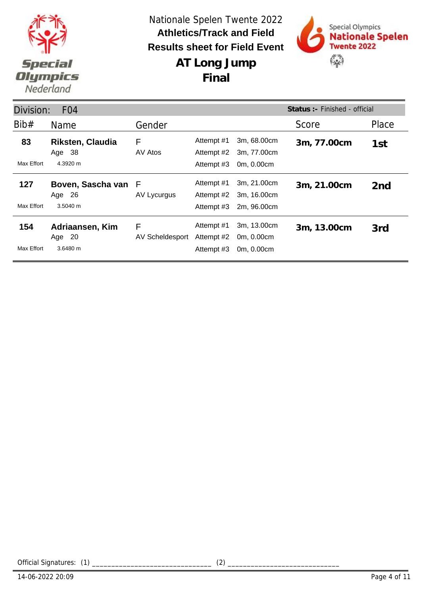



**AT Long Jump Final**

| Status : - Finished - official<br>Division:<br>F <sub>04</sub> |                                               |                      |                                        |                                           |             |                 |  |
|----------------------------------------------------------------|-----------------------------------------------|----------------------|----------------------------------------|-------------------------------------------|-------------|-----------------|--|
| Bib#                                                           | <b>Name</b>                                   | Gender               |                                        |                                           | Score       | Place           |  |
| 83<br>Max Effort                                               | <b>Riksten, Claudia</b><br>Age 38<br>4.3920 m | F<br>AV Atos         | Attempt #1<br>Attempt #2<br>Attempt #3 | 3m, 68.00cm<br>3m, 77.00cm<br>0m, 0.00cm  | 3m, 77.00cm | 1st             |  |
| 127<br>Max Effort                                              | Boven, Sascha van<br>Age 26<br>3.5040 m       | F<br>AV Lycurgus     | Attempt #1<br>Attempt #2<br>Attempt #3 | 3m, 21.00cm<br>3m, 16.00cm<br>2m, 96.00cm | 3m, 21.00cm | 2 <sub>nd</sub> |  |
| 154<br>Max Effort                                              | Adriaansen, Kim<br>Age 20<br>3.6480 m         | F<br>AV Scheldesport | Attempt #1<br>Attempt #2<br>Attempt #3 | 3m, 13.00cm<br>0m, 0.00cm<br>0m, 0.00cm   | 3m, 13.00cm | 3rd             |  |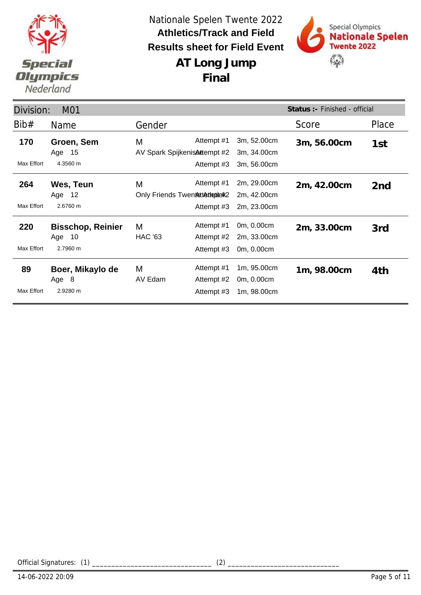



| Status :- Finished - official<br>Division:<br>M01 |                          |                               |            |             |             |                 |  |
|---------------------------------------------------|--------------------------|-------------------------------|------------|-------------|-------------|-----------------|--|
| Bib#                                              | Name                     | Gender                        |            |             | Score       | Place           |  |
| 170                                               | Groen, Sem               | M                             | Attempt #1 | 3m, 52.00cm | 3m, 56.00cm | 1st             |  |
|                                                   | Age 15                   | AV Spark Spijkenis Attempt #2 |            | 3m, 34.00cm |             |                 |  |
| Max Effort                                        | 4.3560 m                 |                               | Attempt #3 | 3m, 56.00cm |             |                 |  |
| 264                                               | Wes, Teun                | M                             | Attempt #1 | 2m, 29.00cm | 2m, 42.00cm | 2 <sub>nd</sub> |  |
|                                                   | Age 12                   | Only Friends Twentstattepiet2 |            | 2m, 42.00cm |             |                 |  |
| Max Effort                                        | 2.6760 m                 |                               | Attempt #3 | 2m, 23.00cm |             |                 |  |
| 220                                               | <b>Bisschop, Reinier</b> | M                             | Attempt #1 | 0m, 0.00cm  | 2m, 33.00cm | 3rd             |  |
|                                                   | Age 10                   | <b>HAC '63</b>                | Attempt #2 | 2m, 33.00cm |             |                 |  |
| Max Effort                                        | 2.7960 m                 |                               | Attempt #3 | 0m, 0.00cm  |             |                 |  |
| 89                                                | Boer, Mikaylo de         | M                             | Attempt #1 | 1m, 95.00cm | 1m, 98.00cm | 4th             |  |
|                                                   | Age 8                    | AV Edam                       | Attempt #2 | 0m, 0.00cm  |             |                 |  |
| Max Effort                                        | 2.9280 m                 |                               | Attempt #3 | 1m, 98.00cm |             |                 |  |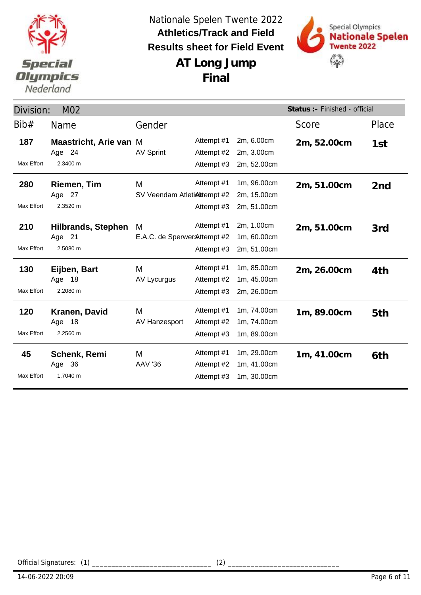



| Status : - Finished - official<br>Division:<br>M02 |                               |                               |            |             |             |                 |
|----------------------------------------------------|-------------------------------|-------------------------------|------------|-------------|-------------|-----------------|
| Bib#                                               | Name                          | Gender                        |            |             | Score       | Place           |
| 187                                                | <b>Maastricht, Arie van M</b> |                               | Attempt #1 | 2m, 6.00cm  | 2m, 52.00cm | 1st             |
|                                                    | Age 24                        | <b>AV Sprint</b>              | Attempt #2 | 2m, 3.00cm  |             |                 |
| <b>Max Effort</b>                                  | 2.3400 m                      |                               | Attempt #3 | 2m, 52.00cm |             |                 |
| 280                                                | Riemen, Tim                   | M                             | Attempt #1 | 1m, 96.00cm | 2m, 51.00cm | 2 <sub>nd</sub> |
|                                                    | Age 27                        | SV Veendam Atletiektempt #2   |            | 2m, 15.00cm |             |                 |
| Max Effort                                         | 2.3520 m                      |                               | Attempt #3 | 2m, 51.00cm |             |                 |
| 210                                                | <b>Hilbrands, Stephen</b>     | M                             | Attempt #1 | 2m, 1.00cm  | 2m, 51.00cm | 3rd             |
|                                                    | Age 21                        | E.A.C. de Sperwer & ttempt #2 |            | 1m, 60.00cm |             |                 |
| Max Effort                                         | 2.5080 m                      |                               | Attempt #3 | 2m, 51.00cm |             |                 |
| 130                                                | Eijben, Bart                  | M                             | Attempt #1 | 1m, 85.00cm | 2m, 26.00cm | 4th             |
|                                                    | -18<br>Age                    | AV Lycurgus                   | Attempt #2 | 1m, 45.00cm |             |                 |
| <b>Max Effort</b>                                  | 2.2080 m                      |                               | Attempt #3 | 2m, 26.00cm |             |                 |
| 120                                                | Kranen, David                 | M                             | Attempt #1 | 1m, 74.00cm | 1m, 89.00cm | 5th             |
|                                                    | Age 18                        | AV Hanzesport                 | Attempt #2 | 1m, 74.00cm |             |                 |
| <b>Max Effort</b>                                  | 2.2560 m                      |                               | Attempt #3 | 1m, 89.00cm |             |                 |
| 45                                                 | <b>Schenk, Remi</b>           | M                             | Attempt #1 | 1m, 29.00cm | 1m, 41.00cm | 6th             |
|                                                    | Age 36                        | <b>AAV '36</b>                | Attempt #2 | 1m, 41.00cm |             |                 |
| <b>Max Effort</b>                                  | 1.7040 m                      |                               | Attempt #3 | 1m, 30.00cm |             |                 |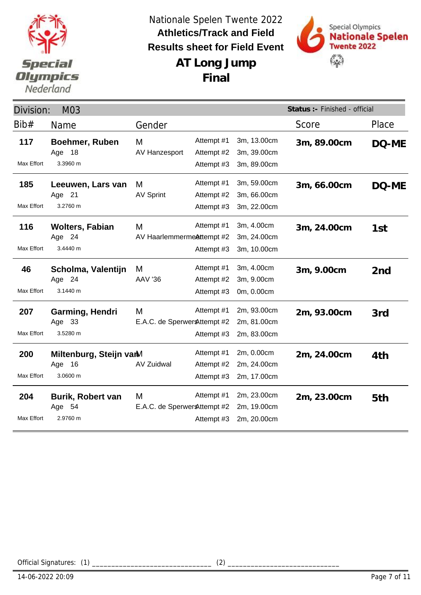



| Division:         | M03                                              |                                    |                                        |                                           | Status :- Finished - official |                 |  |
|-------------------|--------------------------------------------------|------------------------------------|----------------------------------------|-------------------------------------------|-------------------------------|-----------------|--|
| Bib#              | Name                                             | Gender                             |                                        |                                           | Score                         | Place           |  |
| 117<br>Max Effort | <b>Boehmer, Ruben</b><br>Age 18<br>3.3960 m      | М<br>AV Hanzesport                 | Attempt #1<br>Attempt #2<br>Attempt #3 | 3m, 13.00cm<br>3m, 39.00cm<br>3m, 89.00cm | 3m, 89.00cm                   | DQ-ME           |  |
|                   |                                                  |                                    |                                        |                                           |                               |                 |  |
| 185<br>Max Effort | Leeuwen, Lars van<br>Age 21<br>3.2760 m          | M<br><b>AV Sprint</b>              | Attempt #1<br>Attempt #2<br>Attempt #3 | 3m, 59.00cm<br>3m, 66.00cm<br>3m, 22.00cm | 3m, 66.00cm                   | DQ-ME           |  |
| 116               | <b>Wolters, Fabian</b><br>Age 24                 | M<br>AV HaarlemmermeAttempt #2     | Attempt #1                             | 3m, 4.00cm<br>3m, 24.00cm                 | 3m, 24.00cm                   | 1st             |  |
| Max Effort        | 3.4440 m                                         |                                    | Attempt #3                             | 3m, 10.00cm                               |                               |                 |  |
| 46                | Scholma, Valentijn<br>Age 24                     | M<br><b>AAV '36</b>                | Attempt #1<br>Attempt #2               | 3m, 4.00cm<br>3m, 9.00cm                  | 3m, 9.00cm                    | 2 <sub>nd</sub> |  |
| Max Effort        | 3.1440 m                                         |                                    | Attempt #3                             | 0m, 0.00cm                                |                               |                 |  |
| 207<br>Max Effort | Garming, Hendri<br>Age 33<br>3.5280 m            | M<br>E.A.C. de Sperwer & ttempt #2 | Attempt #1<br>Attempt #3               | 2m, 93.00cm<br>2m, 81.00cm<br>2m, 83.00cm | 2m, 93.00cm                   | 3rd             |  |
| 200<br>Max Effort | Miltenburg, Steijn varM<br>16<br>Age<br>3.0600 m | <b>AV Zuidwal</b>                  | Attempt #1<br>Attempt #2<br>Attempt #3 | 2m, 0.00cm<br>2m, 24.00cm<br>2m, 17.00cm  | 2m, 24.00cm                   | 4th             |  |
| 204<br>Max Effort | <b>Burik, Robert van</b><br>Age 54<br>2.9760 m   | M<br>E.A.C. de Sperwer & ttempt #2 | Attempt #1<br>Attempt #3               | 2m, 23.00cm<br>2m, 19.00cm<br>2m, 20.00cm | 2m, 23.00cm                   | 5th             |  |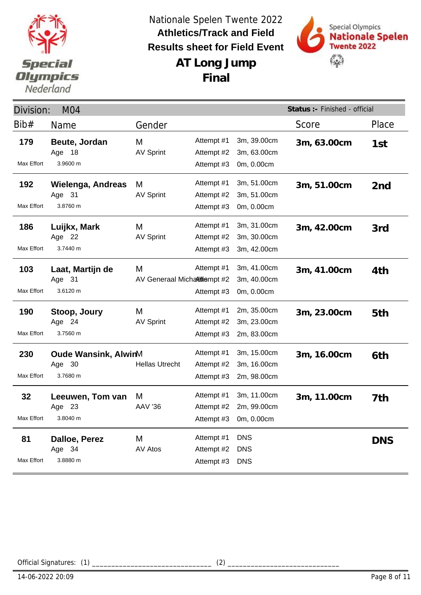



**AT Long Jump Final**

| Status :- Finished - official<br>M <sub>04</sub><br>Division: |                                             |                                   |                                        |                                                     |             |                 |
|---------------------------------------------------------------|---------------------------------------------|-----------------------------------|----------------------------------------|-----------------------------------------------------|-------------|-----------------|
| Bib#                                                          | Name                                        | Gender                            |                                        |                                                     | Score       | Place           |
| 179<br>Max Effort                                             | Beute, Jordan<br>Age 18<br>3.9600 m         | M<br><b>AV Sprint</b>             | Attempt #1<br>Attempt #2<br>Attempt #3 | 3m, 39.00cm<br>3m, 63.00cm<br>0m, 0.00cm            | 3m, 63.00cm | 1st             |
| 192<br>Max Effort                                             | Wielenga, Andreas<br>Age 31<br>3.8760 m     | M<br><b>AV Sprint</b>             | Attempt #1<br>Attempt #2<br>Attempt #3 | 3m, 51.00cm<br>3m, 51.00cm<br>0m, 0.00cm            | 3m, 51.00cm | 2 <sub>nd</sub> |
| 186<br>Max Effort                                             | Luijkx, Mark<br>Age 22<br>3.7440 m          | M<br><b>AV Sprint</b>             | Attempt #1<br>Attempt #2<br>Attempt #3 | 3m, 31.00cm<br>3m, 30.00cm<br>3m, 42.00cm           | 3m, 42.00cm | 3rd             |
| 103<br>Max Effort                                             | Laat, Martijn de<br>Age 31<br>3.6120 m      | M<br>AV Generaal Michalitiempt #2 | Attempt #1<br>Attempt #3               | 3m, 41.00cm<br>3m, 40.00cm<br>0m, 0.00cm            | 3m, 41.00cm | 4th             |
| 190<br>Max Effort                                             | Stoop, Joury<br>Age 24<br>3.7560 m          | M<br><b>AV Sprint</b>             | Attempt #1<br>Attempt #2<br>Attempt #3 | 2m, 35.00cm<br>3m, 23.00cm<br>2m, 83.00cm           | 3m, 23.00cm | 5th             |
| 230<br>Max Effort                                             | Oude Wansink, AlwinM<br>Age 30<br>3.7680 m  | <b>Hellas Utrecht</b>             | Attempt #1<br>Attempt #2<br>Attempt #3 | 3m, 15.00cm<br>3m, 16.00cm<br>2m, 98.00cm           | 3m, 16.00cm | 6th             |
| 32<br>Max Effort                                              | Leeuwen, Tom van<br>- 23<br>Age<br>3.8040 m | M<br><b>AAV '36</b>               | Attempt #1<br>Attempt #2               | 3m, 11.00cm<br>2m, 99.00cm<br>Attempt #3 0m, 0.00cm | 3m, 11.00cm | 7th             |
| 81<br>Max Effort                                              | Dalloe, Perez<br>Age 34<br>3.8880 m         | M<br>AV Atos                      | Attempt #1<br>Attempt #2<br>Attempt #3 | <b>DNS</b><br><b>DNS</b><br><b>DNS</b>              |             | <b>DNS</b>      |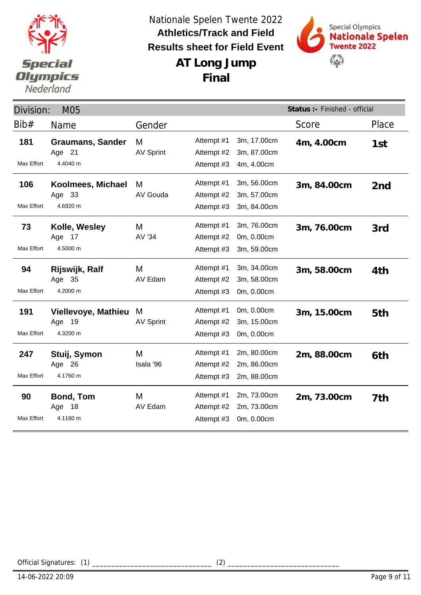



| Division:<br><b>M05</b> |                                              |                       |                                        |                                           | Status :- Finished - official |                 |
|-------------------------|----------------------------------------------|-----------------------|----------------------------------------|-------------------------------------------|-------------------------------|-----------------|
| Bib#                    | Name                                         | Gender                |                                        |                                           | Score                         | Place           |
| 181                     | <b>Graumans, Sander</b><br>Age 21            | M<br><b>AV Sprint</b> | Attempt #1<br>Attempt #2               | 3m, 17.00cm<br>3m, 87.00cm                | 4m, 4.00cm                    | 1st             |
| Max Effort              | 4.4040 m                                     |                       | Attempt #3                             | 4m, 4.00cm                                |                               |                 |
| 106                     | Koolmees, Michael<br>Age 33                  | M<br>AV Gouda         | Attempt #1<br>Attempt #2               | 3m, 56.00cm<br>3m, 57.00cm                | 3m, 84.00cm                   | 2 <sub>nd</sub> |
| Max Effort              | 4.6920 m                                     |                       | Attempt #3                             | 3m, 84.00cm                               |                               |                 |
| 73<br>Max Effort        | Kolle, Wesley<br>Age 17<br>4.5000 m          | M<br>AV '34           | Attempt #1<br>Attempt #2<br>Attempt #3 | 3m, 76.00cm<br>0m, 0.00cm<br>3m, 59.00cm  | 3m, 76.00cm                   | 3rd             |
| 94<br>Max Effort        | Rijswijk, Ralf<br>Age 35<br>4.2000 m         | M<br>AV Edam          | Attempt #1<br>Attempt #2<br>Attempt #3 | 3m, 34.00cm<br>3m, 58.00cm<br>0m, 0.00cm  | 3m, 58.00cm                   | 4th             |
| 191<br>Max Effort       | Viellevoye, Mathieu<br>19<br>Age<br>4.3200 m | M<br><b>AV Sprint</b> | Attempt #1<br>Attempt #2<br>Attempt #3 | 0m, 0.00cm<br>3m, 15.00cm<br>0m, 0.00cm   | 3m, 15.00cm                   | 5th             |
| 247<br>Max Effort       | Stuij, Symon<br>Age 26<br>4.1760 m           | M<br>Isala '96        | Attempt #1<br>Attempt #2<br>Attempt #3 | 2m, 80.00cm<br>2m, 86.00cm<br>2m, 88.00cm | 2m, 88.00cm                   | 6th             |
| 90<br>Max Effort        | <b>Bond, Tom</b><br>Age 18<br>4.1160 m       | M<br>AV Edam          | Attempt #1<br>Attempt #2<br>Attempt #3 | 2m, 73.00cm<br>2m, 73.00cm<br>0m, 0.00cm  | 2m, 73.00cm                   | 7th             |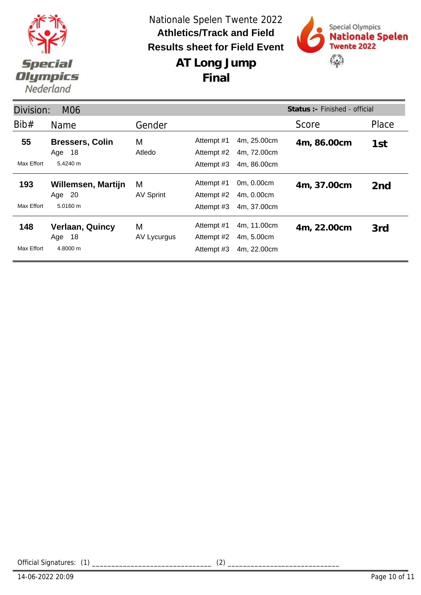



**AT Long Jump Final**

| Status: - Finished - official<br>Division:<br><b>M06</b> |                                                 |                       |                                        |                                           |             |                 |  |
|----------------------------------------------------------|-------------------------------------------------|-----------------------|----------------------------------------|-------------------------------------------|-------------|-----------------|--|
| Bib#                                                     | Name                                            | Gender                |                                        |                                           | Score       | Place           |  |
| 55<br>Max Effort                                         | <b>Bressers, Colin</b><br>18<br>Age<br>5.4240 m | М<br>Atledo           | Attempt #1<br>Attempt #2<br>Attempt #3 | 4m, 25.00cm<br>4m, 72.00cm<br>4m, 86.00cm | 4m, 86.00cm | 1st             |  |
| 193<br>Max Effort                                        | Willemsen, Martijn<br>Age 20<br>5.0160 m        | M<br><b>AV Sprint</b> | Attempt #1<br>Attempt #2<br>Attempt #3 | 0m, 0.00cm<br>4m, 0.00cm<br>4m, 37.00cm   | 4m, 37.00cm | 2 <sub>nd</sub> |  |
| 148<br>Max Effort                                        | <b>Verlaan, Quincy</b><br>18<br>Age<br>4.8000 m | М<br>AV Lycurgus      | Attempt #1<br>Attempt #2<br>Attempt #3 | 4m, 11.00cm<br>4m, 5.00cm<br>4m, 22.00cm  | 4m, 22.00cm | 3rd             |  |